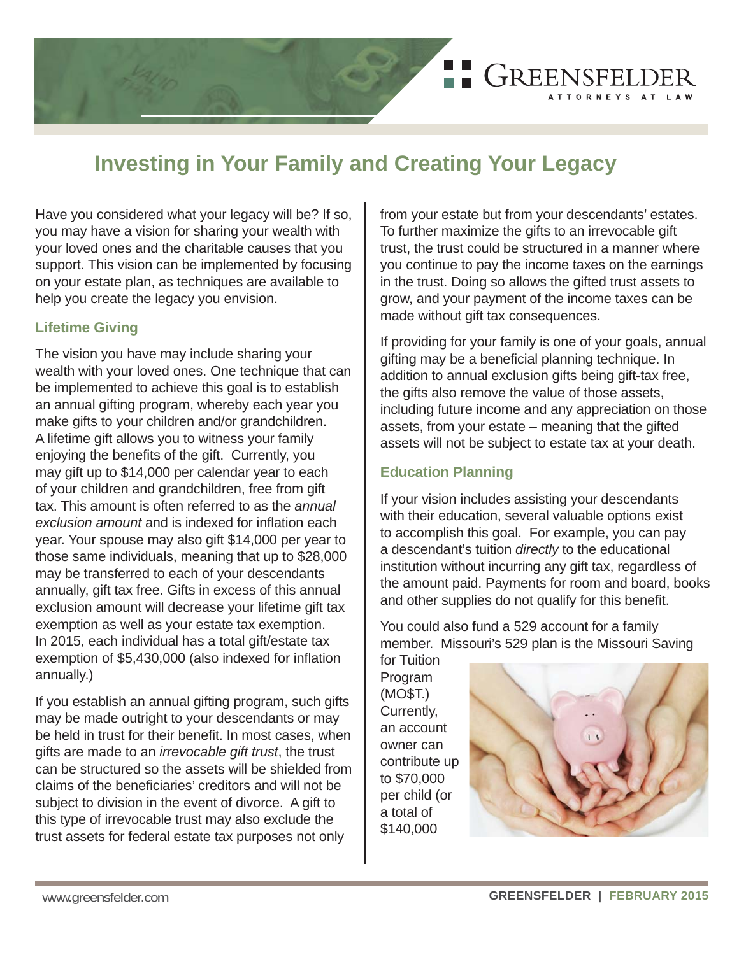

# **Investing in Your Family and Creating Your Legacy**

Have you considered what your legacy will be? If so, you may have a vision for sharing your wealth with your loved ones and the charitable causes that you support. This vision can be implemented by focusing on your estate plan, as techniques are available to help you create the legacy you envision.

#### **Lifetime Giving**

The vision you have may include sharing your wealth with your loved ones. One technique that can be implemented to achieve this goal is to establish an annual gifting program, whereby each year you make gifts to your children and/or grandchildren. A lifetime gift allows you to witness your family enjoying the benefits of the gift. Currently, you may gift up to \$14,000 per calendar year to each of your children and grandchildren, free from gift tax. This amount is often referred to as the *annual exclusion amount* and is indexed for inflation each year. Your spouse may also gift \$14,000 per year to those same individuals, meaning that up to \$28,000 may be transferred to each of your descendants annually, gift tax free. Gifts in excess of this annual exclusion amount will decrease your lifetime gift tax exemption as well as your estate tax exemption. In 2015, each individual has a total gift/estate tax exemption of \$5,430,000 (also indexed for inflation annually.)

If you establish an annual gifting program, such gifts may be made outright to your descendants or may be held in trust for their bene fi t. In most cases, when gifts are made to an *irrevocable gift trust*, the trust can be structured so the assets will be shielded from claims of the beneficiaries' creditors and will not be subject to division in the event of divorce. A gift to this type of irrevocable trust may also exclude the trust assets for federal estate tax purposes not only

from your estate but from your descendants' estates. To further maximize the gifts to an irrevocable gift trust, the trust could be structured in a manner where you continue to pay the income taxes on the earnings in the trust. Doing so allows the gifted trust assets to grow, and your payment of the income taxes can be made without gift tax consequences.

If providing for your family is one of your goals, annual gifting may be a beneficial planning technique. In addition to annual exclusion gifts being gift-tax free, the gifts also remove the value of those assets, including future income and any appreciation on those assets, from your estate – meaning that the gifted assets will not be subject to estate tax at your death.

## **Education Planning**

If your vision includes assisting your descendants with their education, several valuable options exist to accomplish this goal. For example, you can pay a descendant's tuition *directly* to the educational institution without incurring any gift tax, regardless of the amount paid. Payments for room and board, books and other supplies do not qualify for this benefit.

You could also fund a 529 account for a family member. Missouri's 529 plan is the Missouri Saving

for Tuition Program (MO\$T.) Currently, an account owner can contribute up to \$70,000 per child (or a total of \$140,000

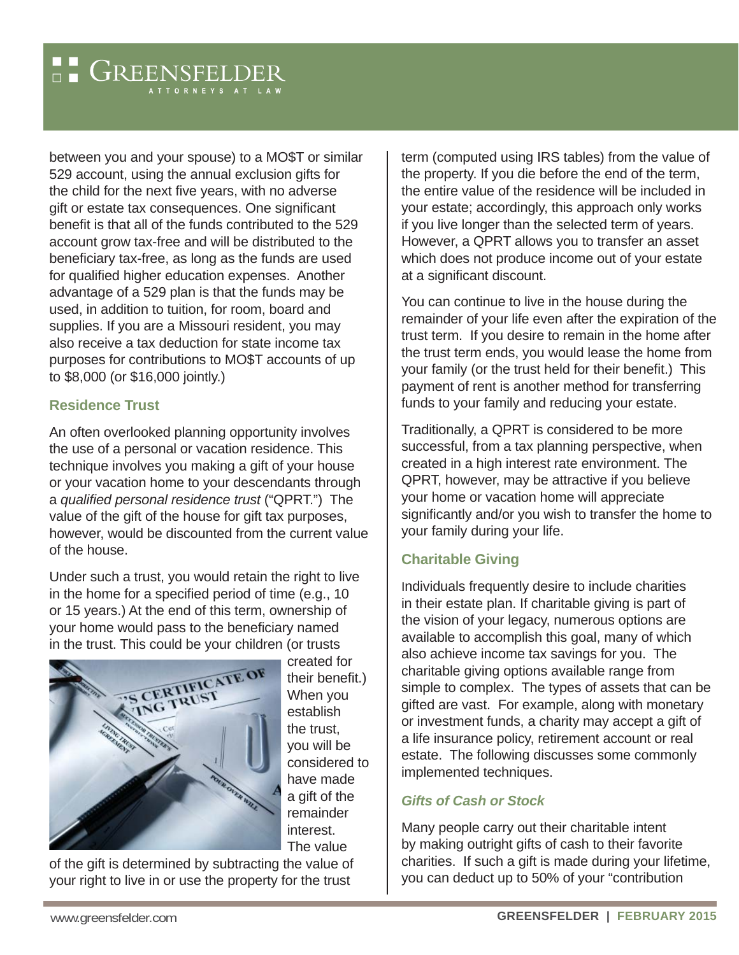between you and your spouse) to a MO\$T or similar 529 account, using the annual exclusion gifts for the child for the next five years, with no adverse gift or estate tax consequences. One significant benefit is that all of the funds contributed to the 529 account grow tax-free and will be distributed to the beneficiary tax-free, as long as the funds are used for qualified higher education expenses. Another advantage of a 529 plan is that the funds may be used, in addition to tuition, for room, board and supplies. If you are a Missouri resident, you may also receive a tax deduction for state income tax purposes for contributions to MO\$T accounts of up to \$8,000 (or \$16,000 jointly.)

#### **Residence Trust**

An often overlooked planning opportunity involves the use of a personal or vacation residence. This technique involves you making a gift of your house or your vacation home to your descendants through <sup>a</sup>*qualifi ed personal residence trust* ("QPRT.") The value of the gift of the house for gift tax purposes, however, would be discounted from the current value of the house.

Under such a trust, you would retain the right to live in the home for a specified period of time (e.g., 10) or 15 years.) At the end of this term, ownership of your home would pass to the beneficiary named in the trust. This could be your children (or trusts



created for their benefit.) When you establish the trust, you will be considered to have made a gift of the remainder interest. The value

of the gift is determined by subtracting the value of your right to live in or use the property for the trust

term (computed using IRS tables) from the value of the property. If you die before the end of the term, the entire value of the residence will be included in your estate; accordingly, this approach only works if you live longer than the selected term of years. However, a QPRT allows you to transfer an asset which does not produce income out of your estate at a significant discount.

You can continue to live in the house during the remainder of your life even after the expiration of the trust term. If you desire to remain in the home after the trust term ends, you would lease the home from your family (or the trust held for their benefit.) This payment of rent is another method for transferring funds to your family and reducing your estate.

Traditionally, a QPRT is considered to be more successful, from a tax planning perspective, when created in a high interest rate environment. The QPRT, however, may be attractive if you believe your home or vacation home will appreciate significantly and/or you wish to transfer the home to your family during your life.

# **Charitable Giving**

Individuals frequently desire to include charities in their estate plan. If charitable giving is part of the vision of your legacy, numerous options are available to accomplish this goal, many of which also achieve income tax savings for you. The charitable giving options available range from simple to complex. The types of assets that can be gifted are vast. For example, along with monetary or investment funds, a charity may accept a gift of a life insurance policy, retirement account or real estate. The following discusses some commonly implemented techniques.

#### *Gifts of Cash or Stock*

Many people carry out their charitable intent by making outright gifts of cash to their favorite charities. If such a gift is made during your lifetime, you can deduct up to 50% of your "contribution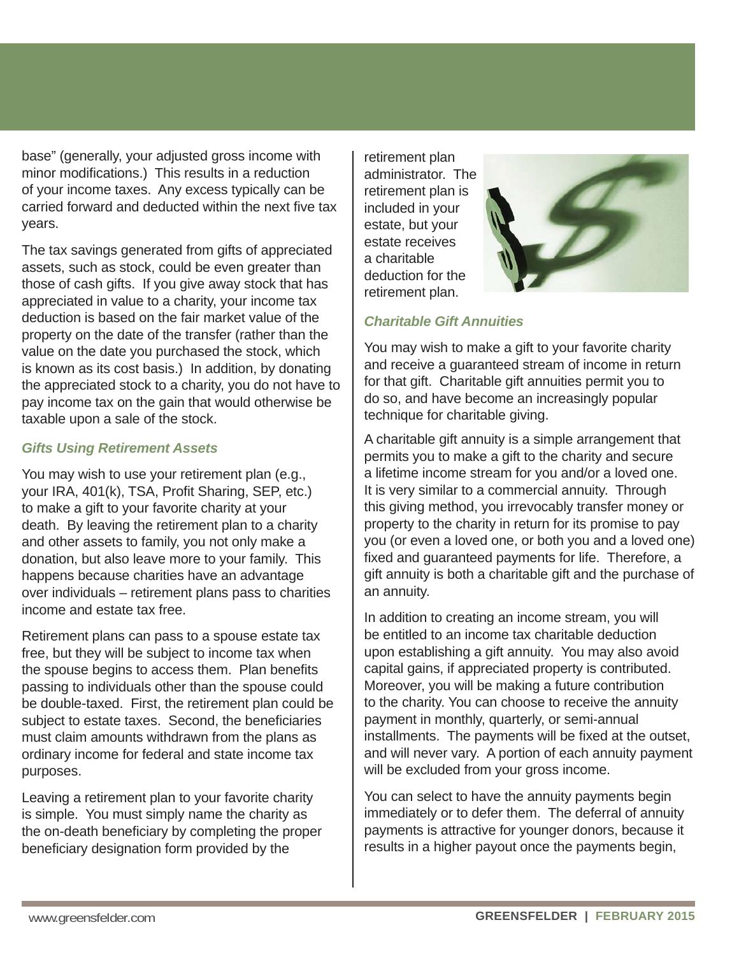base" (generally, your adjusted gross income with minor modifications.) This results in a reduction of your income taxes. Any excess typically can be carried forward and deducted within the next five tax years.

The tax savings generated from gifts of appreciated assets, such as stock, could be even greater than those of cash gifts. If you give away stock that has appreciated in value to a charity, your income tax deduction is based on the fair market value of the property on the date of the transfer (rather than the value on the date you purchased the stock, which is known as its cost basis.) In addition, by donating the appreciated stock to a charity, you do not have to pay income tax on the gain that would otherwise be taxable upon a sale of the stock.

#### *Gifts Using Retirement Assets*

You may wish to use your retirement plan (e.g., your IRA, 401(k), TSA, Profit Sharing, SEP, etc.) to make a gift to your favorite charity at your death. By leaving the retirement plan to a charity and other assets to family, you not only make a donation, but also leave more to your family. This happens because charities have an advantage over individuals – retirement plans pass to charities income and estate tax free.

Retirement plans can pass to a spouse estate tax free, but they will be subject to income tax when the spouse begins to access them. Plan benefits passing to individuals other than the spouse could be double-taxed. First, the retirement plan could be subject to estate taxes. Second, the beneficiaries must claim amounts withdrawn from the plans as ordinary income for federal and state income tax purposes.

Leaving a retirement plan to your favorite charity is simple. You must simply name the charity as the on-death beneficiary by completing the proper beneficiary designation form provided by the

retirement plan administrator. The retirement plan is included in your estate, but your estate receives a charitable deduction for the retirement plan.



### *Charitable Gift Annuities*

You may wish to make a gift to your favorite charity and receive a guaranteed stream of income in return for that gift. Charitable gift annuities permit you to do so, and have become an increasingly popular technique for charitable giving.

A charitable gift annuity is a simple arrangement that permits you to make a gift to the charity and secure a lifetime income stream for you and/or a loved one. It is very similar to a commercial annuity. Through this giving method, you irrevocably transfer money or property to the charity in return for its promise to pay you (or even a loved one, or both you and a loved one) fixed and guaranteed payments for life. Therefore, a gift annuity is both a charitable gift and the purchase of an annuity.

In addition to creating an income stream, you will be entitled to an income tax charitable deduction upon establishing a gift annuity. You may also avoid capital gains, if appreciated property is contributed. Moreover, you will be making a future contribution to the charity. You can choose to receive the annuity payment in monthly, quarterly, or semi-annual installments. The payments will be fixed at the outset, and will never vary. A portion of each annuity payment will be excluded from your gross income.

You can select to have the annuity payments begin immediately or to defer them. The deferral of annuity payments is attractive for younger donors, because it results in a higher payout once the payments begin,